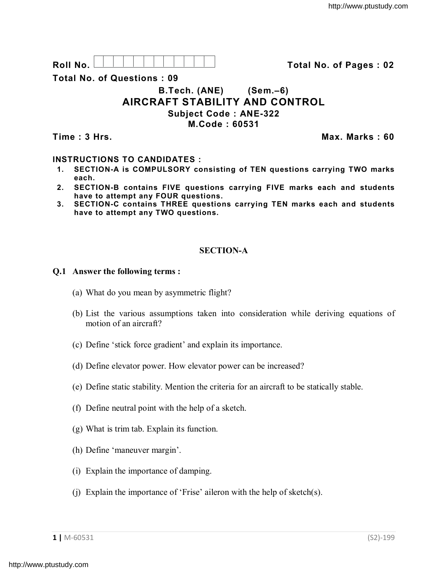

**Total No. of Questions : 09**

# **B.Tech. (ANE) (Sem.–6) AIRCRAFT STABILITY AND CONTROL Subject Code : ANE-322 M.Code : 60531**

**Time : 3 Hrs. Max. Marks : 60**

## **INSTRUCTIONS TO CANDIDATES :**

- **1. SECTION-A is COMPULSORY consisting of TEN questions carrying TWO marks each.**
- **2. SECTION-B contains FIVE questions carrying FIVE marks each and students have to attempt any FOUR questions.**
- **3. SECTION-C contains THREE questions carrying TEN marks each and students have to attempt any TWO questions.**

# **SECTION-A**

## **Q.1 Answer the following terms :**

- (a) What do you mean by asymmetric flight?
- (b) List the various assumptions taken into consideration while deriving equations of motion of an aircraft?
- (c) Define 'stick force gradient' and explain its importance.
- (d) Define elevator power. How elevator power can be increased?
- (e) Define static stability. Mention the criteria for an aircraft to be statically stable.
- (f) Define neutral point with the help of a sketch.
- (g) What is trim tab. Explain its function.
- (h) Define 'maneuver margin'.
- (i) Explain the importance of damping.
- (j) Explain the importance of 'Frise' aileron with the help of sketch(s).